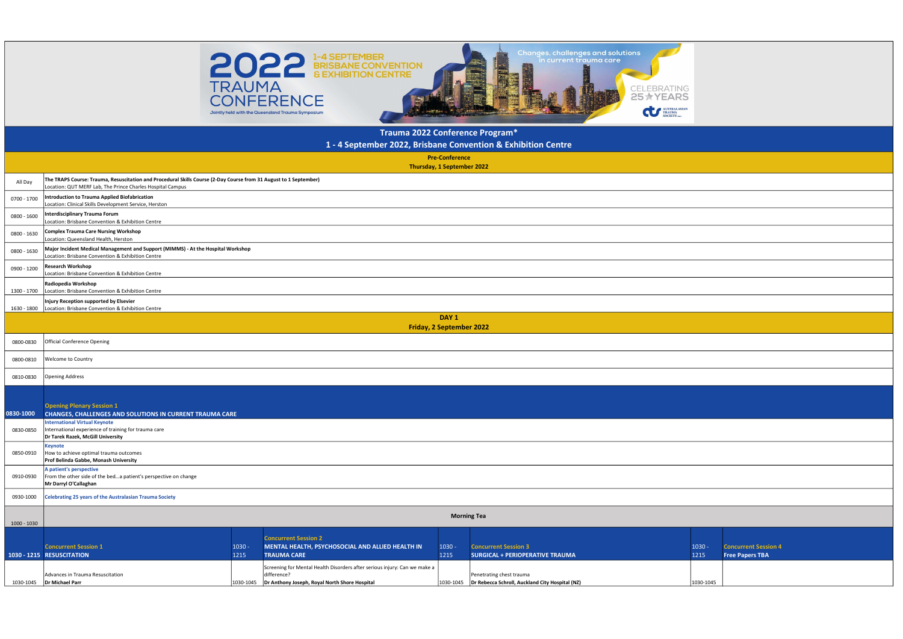| $1030 -$  | <b>Concurrent Session 4</b> |
|-----------|-----------------------------|
| 1215      | <b>Free Papers TBA</b>      |
|           |                             |
|           |                             |
| 1030-1045 |                             |

| <b>Concurrent Session 1</b>      | $1030 -$  | <b>IMENTAL HEALTH. PSYCHOSOCIAL AND ALLIED HEALTH IN</b>                  | 1030 -    | <b>Concurrent Session 3</b>                     | 1030 -    |
|----------------------------------|-----------|---------------------------------------------------------------------------|-----------|-------------------------------------------------|-----------|
| 1030 - 1215 RESUSCITATION        | 1215      | <b>TRAUMA CARE</b>                                                        | 1215      | <b>SURGICAL + PERIOPERATIVE TRAUMA</b>          |           |
|                                  |           | Screening for Mental Health Disorders after serious injury: Can we make a |           |                                                 |           |
| Advances in Trauma Resuscitation |           | difference:                                                               |           | Penetrating chest trauma                        |           |
| 1030-1045   Dr Michael Parr      | 1030-1045 | Dr Anthony Joseph, Royal North Shore Hospital                             | 1030-1045 | Dr Rebecca Schroll, Auckland City Hospital (NZ) | 1030-1045 |



|             |                                                                                                                                                                                 | <b>EVERY A BRISBANE CONVENTION</b><br><b>TRAUMA</b><br><b>CONFERENCE</b><br>Jointly held with the Queensland Trauma Symposium |                                                     |                                                               | CELEBRATING<br>25 <b>★YEARS</b><br>AUSTRALASIAN TRAUMA |                                         |  |
|-------------|---------------------------------------------------------------------------------------------------------------------------------------------------------------------------------|-------------------------------------------------------------------------------------------------------------------------------|-----------------------------------------------------|---------------------------------------------------------------|--------------------------------------------------------|-----------------------------------------|--|
|             |                                                                                                                                                                                 |                                                                                                                               | Trauma 2022 Conference Program*                     |                                                               |                                                        |                                         |  |
|             |                                                                                                                                                                                 |                                                                                                                               | <b>Pre-Conference</b>                               | 1 - 4 September 2022, Brisbane Convention & Exhibition Centre |                                                        |                                         |  |
|             |                                                                                                                                                                                 |                                                                                                                               | Thursday, 1 September 2022                          |                                                               |                                                        |                                         |  |
| All Day     | The TRAPS Course: Trauma, Resuscitation and Procedural Skills Course (2-Day Course from 31 August to 1 September)<br>Location: QUT MERF Lab, The Prince Charles Hospital Campus |                                                                                                                               |                                                     |                                                               |                                                        |                                         |  |
| 0700 - 1700 | Introduction to Trauma Applied Biofabrication<br>Location: Clinical Skills Development Service, Herston                                                                         |                                                                                                                               |                                                     |                                                               |                                                        |                                         |  |
| 0800 - 1600 | Interdisciplinary Trauma Forum<br>Location: Brisbane Convention & Exhibition Centre                                                                                             |                                                                                                                               |                                                     |                                                               |                                                        |                                         |  |
| 0800 - 1630 | Complex Trauma Care Nursing Workshop<br>Location: Queensland Health, Herston                                                                                                    |                                                                                                                               |                                                     |                                                               |                                                        |                                         |  |
| 0800 - 1630 | Major Incident Medical Management and Support (MIMMS) - At the Hospital Workshop<br>Location: Brisbane Convention & Exhibition Centre                                           |                                                                                                                               |                                                     |                                                               |                                                        |                                         |  |
| 0900 - 1200 | <b>Research Workshop</b><br>Location: Brisbane Convention & Exhibition Centre                                                                                                   |                                                                                                                               |                                                     |                                                               |                                                        |                                         |  |
|             | Radiopedia Workshop<br>1300 - 1700   Location: Brisbane Convention & Exhibition Centre                                                                                          |                                                                                                                               |                                                     |                                                               |                                                        |                                         |  |
|             | Injury Reception supported by Elsevier<br>1630 - 1800   Location: Brisbane Convention & Exhibition Centre                                                                       |                                                                                                                               |                                                     |                                                               |                                                        |                                         |  |
|             |                                                                                                                                                                                 |                                                                                                                               | DAY <sub>1</sub><br><b>Friday, 2 September 2022</b> |                                                               |                                                        |                                         |  |
| 0800-0830   | Official Conference Opening                                                                                                                                                     |                                                                                                                               |                                                     |                                                               |                                                        |                                         |  |
| 0800-0810   | <b>Welcome to Country</b>                                                                                                                                                       |                                                                                                                               |                                                     |                                                               |                                                        |                                         |  |
| 0810-0830   | <b>Opening Address</b>                                                                                                                                                          |                                                                                                                               |                                                     |                                                               |                                                        |                                         |  |
|             |                                                                                                                                                                                 |                                                                                                                               |                                                     |                                                               |                                                        |                                         |  |
| 0830-1000   | <b>Opening Plenary Session 1</b><br><b>CHANGES, CHALLENGES AND SOLUTIONS IN CURRENT TRAUMA CARE</b>                                                                             |                                                                                                                               |                                                     |                                                               |                                                        |                                         |  |
| 0830-0850   | <b>International Virtual Keynote</b><br>International experience of training for trauma care<br>Dr Tarek Razek, McGill University                                               |                                                                                                                               |                                                     |                                                               |                                                        |                                         |  |
| 0850-0910   | Keynote<br>How to achieve optimal trauma outcomes<br>Prof Belinda Gabbe, Monash University                                                                                      |                                                                                                                               |                                                     |                                                               |                                                        |                                         |  |
| 0910-0930   | A patient's perspective<br>From the other side of the beda patient's perspective on change<br>Mr Darryl O'Callaghan                                                             |                                                                                                                               |                                                     |                                                               |                                                        |                                         |  |
| 0930-1000   | Celebrating 25 years of the Australasian Trauma Society                                                                                                                         |                                                                                                                               |                                                     |                                                               |                                                        |                                         |  |
|             |                                                                                                                                                                                 |                                                                                                                               |                                                     | <b>Morning Tea</b>                                            |                                                        |                                         |  |
| 1000 - 1030 |                                                                                                                                                                                 |                                                                                                                               |                                                     |                                                               |                                                        |                                         |  |
|             | <b>Concurrent Session 1</b>                                                                                                                                                     | <b>Concurrent Session 2</b><br>$1030 -$<br>MENTAL HEALTH, PSYCHOSOCIAL AND ALLIED HEALTH IN                                   | $1030 -$                                            | <b>Concurrent Session 3</b>                                   |                                                        | $1030 -$<br><b>Concurrent Session 4</b> |  |
|             | 1030 - 1215 RESUSCITATION                                                                                                                                                       | <b>TRAILMA CARE</b><br>1215                                                                                                   | $1215 -$                                            | SURGICAL + PERIOPERATIVE TRAUMA                               |                                                        | $1215 -$<br><b>Free Paners TRA</b>      |  |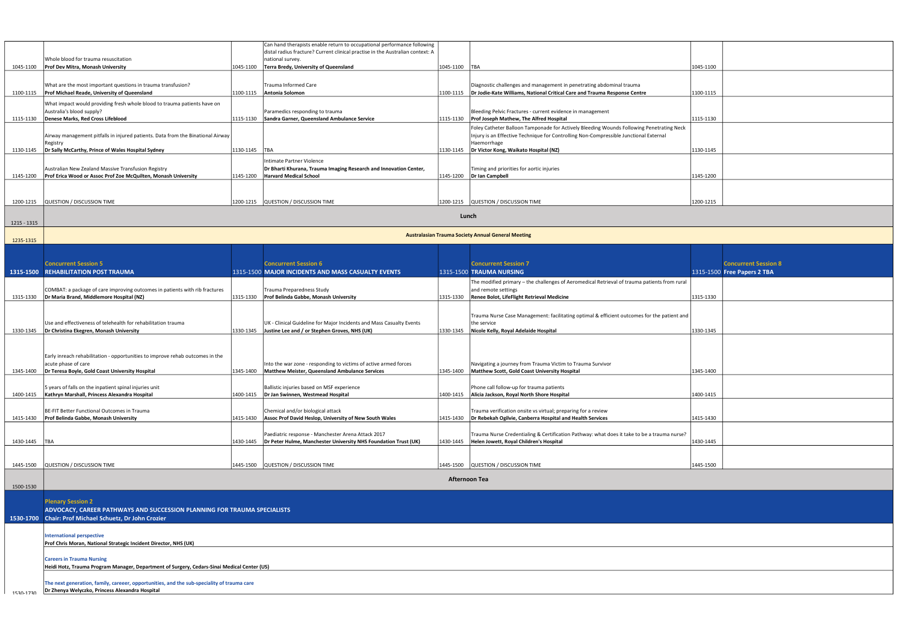|             |                                                                                                                         |           | Can hand therapists enable return to occupational performance following        |               |                                                                                                                                                                                   |           |                             |  |
|-------------|-------------------------------------------------------------------------------------------------------------------------|-----------|--------------------------------------------------------------------------------|---------------|-----------------------------------------------------------------------------------------------------------------------------------------------------------------------------------|-----------|-----------------------------|--|
|             |                                                                                                                         |           | distal radius fracture? Current clinical practise in the Australian context: A |               |                                                                                                                                                                                   |           |                             |  |
|             | Whole blood for trauma resuscitation                                                                                    |           | national survey.                                                               |               |                                                                                                                                                                                   |           |                             |  |
| 1045-1100   | Prof Dev Mitra, Monash University                                                                                       |           | 1045-1100   Terra Bredy, University of Queensland                              | 1045-1100 TBA |                                                                                                                                                                                   | 1045-1100 |                             |  |
|             |                                                                                                                         |           |                                                                                |               |                                                                                                                                                                                   |           |                             |  |
|             | What are the most important questions in trauma transfusion?                                                            |           | Trauma Informed Care                                                           |               | Diagnostic challenges and management in penetrating abdominal trauma                                                                                                              |           |                             |  |
| 1100-1115   | Prof Michael Reade, University of Queensland                                                                            | 1100-1115 | Antonia Solomon                                                                |               | 1100-1115   Dr Jodie-Kate Williams, National Critical Care and Trauma Response Centre                                                                                             | 1100-1115 |                             |  |
|             | What impact would providing fresh whole blood to trauma patients have on                                                |           |                                                                                |               |                                                                                                                                                                                   |           |                             |  |
|             | Australia's blood supply?                                                                                               |           | Paramedics responding to trauma                                                |               | Bleeding Pelvic Fractures - current evidence in management                                                                                                                        |           |                             |  |
| 1115-1130   | Denese Marks. Red Cross Lifeblood                                                                                       | 1115-1130 | Sandra Garner, Queensland Ambulance Service                                    |               | 1115-1130   Prof Joseph Mathew, The Alfred Hospital                                                                                                                               | 1115-1130 |                             |  |
|             | Airway management pitfalls in injured patients. Data from the Binational Airway                                         |           |                                                                                |               | Foley Catheter Balloon Tamponade for Actively Bleeding Wounds Following Penetrating Neck<br>Injury is an Effective Technique for Controlling Non-Compressible Junctional External |           |                             |  |
|             | Registry                                                                                                                |           |                                                                                |               | Haemorrhage                                                                                                                                                                       |           |                             |  |
| 1130-1145   | Dr Sally McCarthy, Prince of Wales Hospital Sydney                                                                      | 1130-1145 | <b>TBA</b>                                                                     |               | 1130-1145   Dr Victor Kong, Waikato Hospital (NZ)                                                                                                                                 | 1130-1145 |                             |  |
|             |                                                                                                                         |           | <b>Intimate Partner Violence</b>                                               |               |                                                                                                                                                                                   |           |                             |  |
|             | Australian New Zealand Massive Transfusion Registry                                                                     |           | Dr Bharti Khurana, Trauma Imaging Research and Innovation Center,              |               | Timing and priorities for aortic injuries                                                                                                                                         |           |                             |  |
| 1145-1200   | Prof Erica Wood or Assoc Prof Zoe McQuilten, Monash University                                                          | 1145-1200 | <b>Harvard Medical School</b>                                                  |               | 1145-1200   Dr Ian Campbell                                                                                                                                                       | 1145-1200 |                             |  |
|             |                                                                                                                         |           |                                                                                |               |                                                                                                                                                                                   |           |                             |  |
|             |                                                                                                                         |           |                                                                                |               |                                                                                                                                                                                   |           |                             |  |
| 1200-1215   | QUESTION / DISCUSSION TIME                                                                                              |           | 1200-1215   QUESTION / DISCUSSION TIME                                         |               | 1200-1215   QUESTION / DISCUSSION TIME                                                                                                                                            | 1200-1215 |                             |  |
|             |                                                                                                                         |           |                                                                                |               | Lunch                                                                                                                                                                             |           |                             |  |
| 1215 - 1315 |                                                                                                                         |           |                                                                                |               |                                                                                                                                                                                   |           |                             |  |
|             |                                                                                                                         |           |                                                                                |               |                                                                                                                                                                                   |           |                             |  |
| 1235-1315   |                                                                                                                         |           |                                                                                |               | <b>Australasian Trauma Society Annual General Meeting</b>                                                                                                                         |           |                             |  |
|             |                                                                                                                         |           |                                                                                |               |                                                                                                                                                                                   |           |                             |  |
|             |                                                                                                                         |           |                                                                                |               |                                                                                                                                                                                   |           |                             |  |
|             | <b>Concurrent Session 5</b>                                                                                             |           | <b>Concurrent Session 6</b>                                                    |               | <b>Concurrent Session 7</b>                                                                                                                                                       |           | <b>Concurrent Session 8</b> |  |
|             | <b>1315-1500 REHABILITATION POST TRAUMA</b>                                                                             |           | 1315-1500 MAJOR INCIDENTS AND MASS CASUALTY EVENTS                             |               | 1315-1500 TRAUMA NURSING                                                                                                                                                          |           | 1315-1500 Free Papers 2 TBA |  |
|             |                                                                                                                         |           |                                                                                |               | The modified primary - the challenges of Aeromedical Retrieval of trauma patients from rural                                                                                      |           |                             |  |
| 1315-1330   | COMBAT: a package of care improving outcomes in patients with rib fractures<br>Dr Maria Brand, Middlemore Hospital (NZ) |           | Trauma Preparedness Study<br>1315-1330   Prof Belinda Gabbe, Monash University |               | and remote settings<br>1315-1330 Renee Bolot, LifeFlight Retrieval Medicine                                                                                                       | 1315-1330 |                             |  |
|             |                                                                                                                         |           |                                                                                |               |                                                                                                                                                                                   |           |                             |  |
|             |                                                                                                                         |           |                                                                                |               | Trauma Nurse Case Management: facilitating optimal & efficient outcomes for the patient and                                                                                       |           |                             |  |
|             | Use and effectiveness of telehealth for rehabilitation trauma                                                           |           | UK - Clinical Guideline for Major Incidents and Mass Casualty Events           |               | the service                                                                                                                                                                       |           |                             |  |
| 1330-1345   | Dr Christina Ekegren, Monash University                                                                                 |           | 1330-1345 Justine Lee and / or Stephen Groves, NHS (UK)                        |               | 1330-1345   Nicole Kelly, Royal Adelaide Hospital                                                                                                                                 | 1330-1345 |                             |  |
|             |                                                                                                                         |           |                                                                                |               |                                                                                                                                                                                   |           |                             |  |
|             |                                                                                                                         |           |                                                                                |               |                                                                                                                                                                                   |           |                             |  |
|             | Early inreach rehabilitation - opportunities to improve rehab outcomes in the                                           |           |                                                                                |               |                                                                                                                                                                                   |           |                             |  |
|             | acute phase of care                                                                                                     |           | Into the war zone - responding to victims of active armed forces               |               | Navigating a journey from Trauma Victim to Trauma Survivor                                                                                                                        |           |                             |  |
| 1345-1400   | Dr Teresa Boyle, Gold Coast University Hospital                                                                         |           | 1345-1400   Matthew Meister, Queensland Ambulance Services                     |               | 1345-1400   Matthew Scott, Gold Coast University Hospital                                                                                                                         | 1345-1400 |                             |  |
|             | 5 years of falls on the inpatient spinal injuries unit                                                                  |           | Ballistic injuries based on MSF experience                                     |               | Phone call follow-up for trauma patients                                                                                                                                          |           |                             |  |
|             | 1400-1415   Kathryn Marshall, Princess Alexandra Hospital                                                               |           | 1400-1415   Dr Jan Swinnen, Westmead Hospital                                  |               | 1400-1415   Alicia Jackson, Royal North Shore Hospital                                                                                                                            | 1400-1415 |                             |  |
|             |                                                                                                                         |           |                                                                                |               |                                                                                                                                                                                   |           |                             |  |
|             | BE-FIT Better Functional Outcomes in Trauma                                                                             |           | Chemical and/or biological attack                                              |               | Trauma verification onsite vs virtual; preparing for a review                                                                                                                     |           |                             |  |
| 1415-1430   | Prof Belinda Gabbe, Monash University                                                                                   | 1415-1430 | Assoc Prof David Heslop, University of New South Wales                         |               | 1415-1430 <b>Dr Rebekah Ogilvie, Canberra Hospital and Health Services</b>                                                                                                        | 1415-1430 |                             |  |
|             |                                                                                                                         |           |                                                                                |               |                                                                                                                                                                                   |           |                             |  |
| 1430-1445   | <b>TBA</b>                                                                                                              |           | Paediatric response - Manchester Arena Attack 2017                             |               | Trauma Nurse Credentialing & Certification Pathway: what does it take to be a trauma nurse?<br>1430-1445   Helen Jowett, Royal Children's Hospital                                | 1430-1445 |                             |  |
|             |                                                                                                                         |           |                                                                                |               |                                                                                                                                                                                   |           |                             |  |
|             |                                                                                                                         |           |                                                                                |               |                                                                                                                                                                                   |           |                             |  |
| 1445-1500   | QUESTION / DISCUSSION TIME                                                                                              |           | 1445-1500 QUESTION / DISCUSSION TIME                                           |               | 1445-1500 QUESTION / DISCUSSION TIME                                                                                                                                              | 1445-1500 |                             |  |
|             |                                                                                                                         |           |                                                                                |               | Afternoon Tea                                                                                                                                                                     |           |                             |  |
| 1500-1530   |                                                                                                                         |           |                                                                                |               |                                                                                                                                                                                   |           |                             |  |
|             |                                                                                                                         |           |                                                                                |               |                                                                                                                                                                                   |           |                             |  |
|             | <b>Plenary Session 2</b>                                                                                                |           |                                                                                |               |                                                                                                                                                                                   |           |                             |  |
|             | ADVOCACY, CAREER PATHWAYS AND SUCCESSION PLANNING FOR TRAUMA SPECIALISTS                                                |           |                                                                                |               |                                                                                                                                                                                   |           |                             |  |
|             | 1530-1700 Chair: Prof Michael Schuetz, Dr John Crozier                                                                  |           |                                                                                |               |                                                                                                                                                                                   |           |                             |  |
|             |                                                                                                                         |           |                                                                                |               |                                                                                                                                                                                   |           |                             |  |
|             | <b>International perspective</b>                                                                                        |           |                                                                                |               |                                                                                                                                                                                   |           |                             |  |
|             | Prof Chris Moran, National Strategic Incident Director, NHS (UK)                                                        |           |                                                                                |               |                                                                                                                                                                                   |           |                             |  |
|             | <b>Careers in Trauma Nursing</b>                                                                                        |           |                                                                                |               |                                                                                                                                                                                   |           |                             |  |
|             | Heidi Hotz, Trauma Program Manager, Department of Surgery, Cedars-Sinai Medical Center (US)                             |           |                                                                                |               |                                                                                                                                                                                   |           |                             |  |
|             |                                                                                                                         |           |                                                                                |               |                                                                                                                                                                                   |           |                             |  |
|             | The next generation, family, careeer, opportunities, and the sub-speciality of trauma care                              |           |                                                                                |               |                                                                                                                                                                                   |           |                             |  |
| 1530-1730   | Dr Zhenya Welyczko, Princess Alexandra Hospital                                                                         |           |                                                                                |               |                                                                                                                                                                                   |           |                             |  |

| 1045-1100<br>1100-1115<br>1115-1130<br>1130-1145<br>1145-1200<br>1200-1215 |  |  |
|----------------------------------------------------------------------------|--|--|
|                                                                            |  |  |
|                                                                            |  |  |
| :k                                                                         |  |  |
|                                                                            |  |  |
|                                                                            |  |  |
|                                                                            |  |  |
|                                                                            |  |  |
|                                                                            |  |  |
|                                                                            |  |  |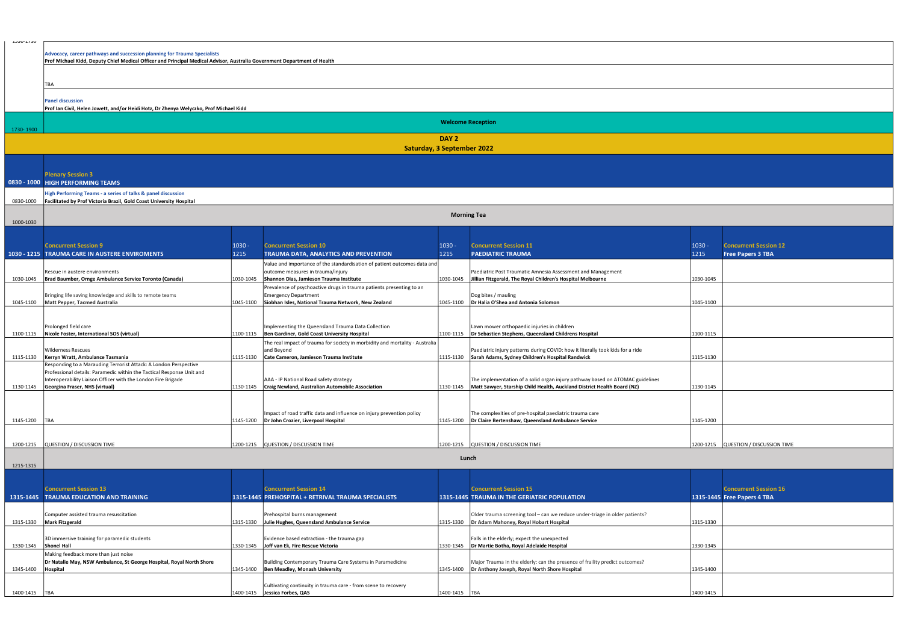| $1030 -$<br>1215 | <b>Concurrent Session 12</b><br><b>Free Papers 3 TBA</b> |
|------------------|----------------------------------------------------------|
| 1030-1045        |                                                          |
| 1045-1100        |                                                          |
|                  |                                                          |
| 1100-1115        |                                                          |
| 1115-1130        |                                                          |
|                  |                                                          |
| 1130-1145        |                                                          |
|                  |                                                          |
| 1145-1200        |                                                          |
|                  |                                                          |
| 1200-1215        | QUESTION / DISCUSSION TIME                               |

| ∪ני ו⊤-∪נים     | Advocacy, career pathways and succession planning for Trauma Specialists                                                                                                 |           |                                                                                                                                                          |                  |                                                                                                                                                          |           |                                                             |
|-----------------|--------------------------------------------------------------------------------------------------------------------------------------------------------------------------|-----------|----------------------------------------------------------------------------------------------------------------------------------------------------------|------------------|----------------------------------------------------------------------------------------------------------------------------------------------------------|-----------|-------------------------------------------------------------|
|                 | Prof Michael Kidd, Deputy Chief Medical Officer and Principal Medical Advisor, Australia Government Department of Health                                                 |           |                                                                                                                                                          |                  |                                                                                                                                                          |           |                                                             |
|                 | TBA<br><b>Panel discussion</b>                                                                                                                                           |           |                                                                                                                                                          |                  |                                                                                                                                                          |           |                                                             |
|                 | Prof Ian Civil, Helen Jowett, and/or Heidi Hotz, Dr Zhenya Welyczko, Prof Michael Kidd                                                                                   |           |                                                                                                                                                          |                  |                                                                                                                                                          |           |                                                             |
| 1730-1900       |                                                                                                                                                                          |           |                                                                                                                                                          |                  | <b>Welcome Reception</b>                                                                                                                                 |           |                                                             |
|                 |                                                                                                                                                                          |           | <b>Saturday, 3 September 2022</b>                                                                                                                        | DAY <sub>2</sub> |                                                                                                                                                          |           |                                                             |
|                 |                                                                                                                                                                          |           |                                                                                                                                                          |                  |                                                                                                                                                          |           |                                                             |
|                 | <b>Plenary Session 3</b>                                                                                                                                                 |           |                                                                                                                                                          |                  |                                                                                                                                                          |           |                                                             |
|                 | 0830 - 1000 HIGH PERFORMING TEAMS                                                                                                                                        |           |                                                                                                                                                          |                  |                                                                                                                                                          |           |                                                             |
| 0830-1000       | High Performing Teams - a series of talks & panel discussion<br>Facilitated by Prof Victoria Brazil, Gold Coast University Hospital                                      |           |                                                                                                                                                          |                  |                                                                                                                                                          |           |                                                             |
| 1000-1030       |                                                                                                                                                                          |           |                                                                                                                                                          |                  | <b>Morning Tea</b>                                                                                                                                       |           |                                                             |
|                 |                                                                                                                                                                          |           |                                                                                                                                                          |                  |                                                                                                                                                          |           |                                                             |
|                 | <b>Concurrent Session 9</b>                                                                                                                                              | $1030 -$  | <b>Concurrent Session 10</b>                                                                                                                             | $1030 -$         | <b>Concurrent Session 11</b>                                                                                                                             | $1030 -$  | <b>Concurrent Session 12</b>                                |
|                 | 1030 - 1215 TRAUMA CARE IN AUSTERE ENVIROMENTS                                                                                                                           | 1215      | TRAUMA DATA, ANALYTICS AND PREVENTION                                                                                                                    | 1215             | <b>PAEDIATRIC TRAUMA</b>                                                                                                                                 | 1215      | <b>Free Papers 3 TBA</b>                                    |
| 1030-1045       | Rescue in austere environments<br>Brad Baumber, Ornge Ambulance Service Toronto (Canada)                                                                                 | 1030-1045 | Value and importance of the standardisation of patient outcomes data and<br>outcome measures in trauma/injury<br>Shannon Dias, Jamieson Trauma Institute |                  | Paediatric Post Traumatic Amnesia Assessment and Management<br>1030-1045   Jillian Fitzgerald, The Royal Children's Hospital Melbourne                   | 1030-1045 |                                                             |
|                 |                                                                                                                                                                          |           | Prevalence of psychoactive drugs in trauma patients presenting to an                                                                                     |                  |                                                                                                                                                          |           |                                                             |
| 1045-1100       | Bringing life saving knowledge and skills to remote teams<br><b>Matt Pepper, Tacmed Australia</b>                                                                        | 1045-1100 | <b>Emergency Department</b><br>Siobhan Isles, National Trauma Network, New Zealand                                                                       | 1045-1100        | Dog bites / mauling<br>Dr Halia O'Shea and Antonia Solomon                                                                                               | 1045-1100 |                                                             |
|                 |                                                                                                                                                                          |           |                                                                                                                                                          |                  |                                                                                                                                                          |           |                                                             |
| 1100-1115       | Prolonged field care<br>Nicole Foster, International SOS (virtual)                                                                                                       | 1100-1115 | Implementing the Queensland Trauma Data Collection<br>Ben Gardiner, Gold Coast University Hospital                                                       |                  | Lawn mower orthopaedic injuries in children<br>1100-1115   Dr Sebastien Stephens, Queensland Childrens Hospital                                          | 1100-1115 |                                                             |
|                 |                                                                                                                                                                          |           | The real impact of trauma for society in morbidity and mortality - Australia                                                                             |                  |                                                                                                                                                          |           |                                                             |
|                 | <b>Wilderness Rescues</b>                                                                                                                                                |           | and Beyond                                                                                                                                               |                  | Paediatric injury patterns during COVID: how it literally took kids for a ride                                                                           |           |                                                             |
| 1115-1130       | Kerryn Wratt, Ambulance Tasmania<br>Responding to a Marauding Terrorist Attack: A London Perspective                                                                     | 1115-1130 | Cate Cameron, Jamieson Trauma Institute                                                                                                                  | 1115-1130        | Sarah Adams, Sydney Children's Hospital Randwick                                                                                                         | 1115-1130 |                                                             |
| 1130-1145       | Professional details: Paramedic within the Tactical Response Unit and<br>Interoperability Liaison Officer with the London Fire Brigade<br>Georgina Fraser, NHS (virtual) | 1130-1145 | AAA - IP National Road safety strategy<br>Craig Newland, Australian Automobile Association                                                               | 1130-1145        | The implementation of a solid organ injury pathway based on ATOMAC guidelines<br>Matt Sawyer, Starship Child Health, Auckland District Health Board (NZ) | 1130-1145 |                                                             |
|                 |                                                                                                                                                                          |           |                                                                                                                                                          |                  |                                                                                                                                                          |           |                                                             |
| 1145-1200       | <b>TBA</b>                                                                                                                                                               | 1145-1200 | Impact of road traffic data and influence on injury prevention policy<br>Dr John Crozier, Liverpool Hospital                                             | 1145-1200        | The complexities of pre-hospital paediatric trauma care<br>Dr Claire Bertenshaw, Queensland Ambulance Service                                            | 1145-1200 |                                                             |
|                 |                                                                                                                                                                          |           |                                                                                                                                                          |                  |                                                                                                                                                          |           |                                                             |
| 1200-1215       | QUESTION / DISCUSSION TIME                                                                                                                                               | 1200-1215 | QUESTION / DISCUSSION TIME                                                                                                                               |                  | 1200-1215 QUESTION / DISCUSSION TIME                                                                                                                     | 1200-1215 | QUESTION / DISCUSSION TIME                                  |
|                 |                                                                                                                                                                          |           |                                                                                                                                                          |                  | Lunch                                                                                                                                                    |           |                                                             |
| 1215-1315       |                                                                                                                                                                          |           |                                                                                                                                                          |                  |                                                                                                                                                          |           |                                                             |
|                 |                                                                                                                                                                          |           |                                                                                                                                                          |                  |                                                                                                                                                          |           |                                                             |
|                 | <b>Concurrent Session 13</b><br>1315-1445 TRAUMA EDUCATION AND TRAINING                                                                                                  |           | <b>Concurrent Session 14</b><br>1315-1445 PREHOSPITAL + RETRIVAL TRAUMA SPECIALISTS                                                                      |                  | <b>Concurrent Session 15</b><br><b>1315-1445 TRAUMA IN THE GERIATRIC POPULATION</b>                                                                      |           | <b>Concurrent Session 16</b><br>1315-1445 Free Papers 4 TBA |
|                 |                                                                                                                                                                          |           |                                                                                                                                                          |                  |                                                                                                                                                          |           |                                                             |
| 1315-1330       | Computer assisted trauma resuscitation<br><b>Mark Fitzgerald</b>                                                                                                         | 1315-1330 | Prehospital burns management<br>Julie Hughes, Queensland Ambulance Service                                                                               | 1315-1330        | Older trauma screening tool - can we reduce under-triage in older patients?<br>Dr Adam Mahoney, Royal Hobart Hospital                                    | 1315-1330 |                                                             |
|                 | 3D immersive training for paramedic students                                                                                                                             |           | Evidence based extraction - the trauma gap                                                                                                               |                  | Falls in the elderly; expect the unexpected                                                                                                              |           |                                                             |
| 1330-1345       | <b>Shonel Hall</b>                                                                                                                                                       | 1330-1345 | Joff van Ek, Fire Rescue Victoria                                                                                                                        | 1330-1345        | Dr Martie Botha, Royal Adelaide Hospital                                                                                                                 | 1330-1345 |                                                             |
| 1345-1400       | Making feedback more than just noise<br>Dr Natalie May, NSW Ambulance, St George Hospital, Royal North Shore<br>Hospital                                                 | 1345-1400 | Building Contemporary Trauma Care Systems in Paramedicine<br>Ben Meadley, Monash University                                                              | 1345-1400        | Major Trauma in the elderly: can the presence of fraility predict outcomes?<br>Dr Anthony Joseph, Royal North Shore Hospital                             | 1345-1400 |                                                             |
| 1400-1415   TBA |                                                                                                                                                                          | 1400-1415 | Cultivating continuity in trauma care - from scene to recovery<br>Jessica Forbes, QAS                                                                    | 1400-1415   TBA  |                                                                                                                                                          | 1400-1415 |                                                             |

|           | <b>Concurrent Session 16</b> |
|-----------|------------------------------|
|           | 1315-1445 Free Papers 4 TBA  |
|           |                              |
|           |                              |
| 1315-1330 |                              |
|           |                              |
| 1330-1345 |                              |
|           |                              |
|           |                              |
| 1345-1400 |                              |
|           |                              |
|           |                              |
| 1400-1415 |                              |